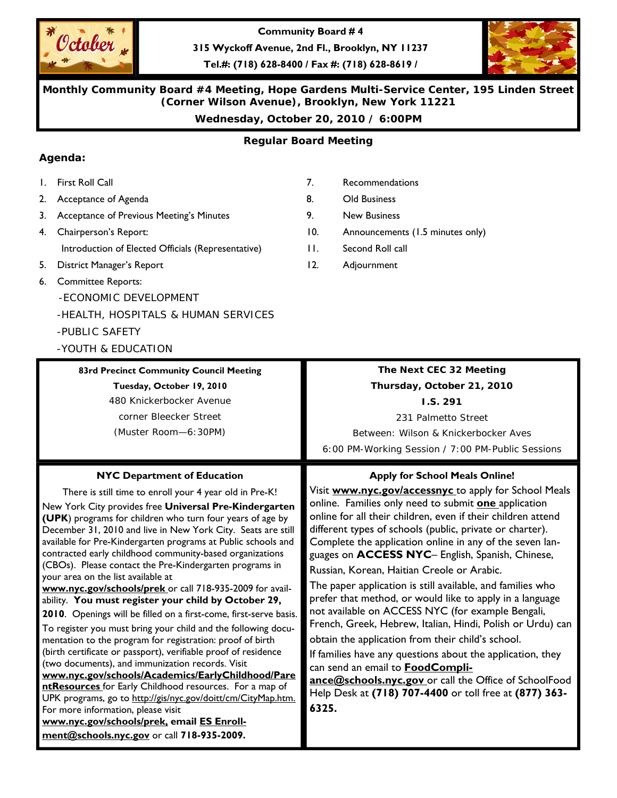

**Community Board # 4** 

**315 Wyckoff Avenue, 2nd Fl., Brooklyn, NY 11237** 

**Tel.#: (718) 628-8400 / Fax #: (718) 628-8619 /** 



**Monthly Community Board #4 Meeting, Hope Gardens Multi-Service Center, 195 Linden Street (Corner Wilson Avenue), Brooklyn, New York 11221** 

**Wednesday, October 20, 2010 / 6:00PM** 

## **Regular Board Meeting**

## **Agenda:**

- 1. First Roll Call
- 2. Acceptance of Agenda
- 3. Acceptance of Previous Meeting's Minutes
- 4. Chairperson's Report: Introduction of Elected Officials (Representative)
- 5. District Manager's Report
- 6. Committee Reports:
	- -ECONOMIC DEVELOPMENT
	- -HEALTH, HOSPITALS & HUMAN SERVICES

-PUBLIC SAFETY

-YOUTH & EDUCATION

your area on the list available at

### **83rd Precinct Community Council Meeting**

**Tuesday, October 19, 2010** 

480 Knickerbocker Avenue corner Bleecker Street (Muster Room—6:30PM)

**NYC Department of Education**  There is still time to enroll your 4 year old in Pre-K! New York City provides free **Universal Pre-Kindergarten (UPK**) programs for children who turn four years of age by December 31, 2010 and live in New York City. Seats are still available for Pre-Kindergarten programs at Public schools and contracted early childhood community-based organizations (CBOs). Please contact the Pre-Kindergarten programs in

**www.nyc.gov/schools/prek** or call 718-935-2009 for availability. **You must register your child by October 29, 2010**. Openings will be filled on a first-come, first-serve basis. To register you must bring your child and the following documentation to the program for registration: proof of birth (birth certificate or passport), verifiable proof of residence

**www.nyc.gov/schools/Academics/EarlyChildhood/Pare ntResources** for Early Childhood resources. For a map of UPK programs, go to http://gis/nyc.gov/doitt/cm/CityMap.htm.

## 7. Recommendations

- 8. Old Business
- 9. New Business
- 10. Announcements (1.5 minutes only)
- 11. Second Roll call
- 12. Adjournment

## **The Next CEC 32 Meeting Thursday, October 21, 2010**

**I.S. 291** 

231 Palmetto Street

Between: Wilson & Knickerbocker Aves 6:00 PM-Working Session / 7:00 PM-Public Sessions

### **Apply for School Meals Online!**

Visit **www.nyc.gov/accessnyc** to apply for School Meals online. Families only need to submit **one** application online for all their children, even if their children attend different types of schools (public, private or charter). Complete the application online in any of the seven languages on **ACCESS NYC**– English, Spanish, Chinese, Russian, Korean, Haitian Creole or Arabic.

The paper application is still available, and families who prefer that method, or would like to apply in a language not available on ACCESS NYC (for example Bengali, French, Greek, Hebrew, Italian, Hindi, Polish or Urdu) can

obtain the application from their child's school.

If families have any questions about the application, they can send an email to **FoodCompli-**

**ance@schools.nyc.gov** or call the Office of SchoolFood Help Desk at **(718) 707-4400** or toll free at **(877) 363- 6325.** 

For more information, please visit **www.nyc.gov/schools/prek, email ES Enrollment@schools.nyc.gov** or call **718-935-2009.**

(two documents), and immunization records. Visit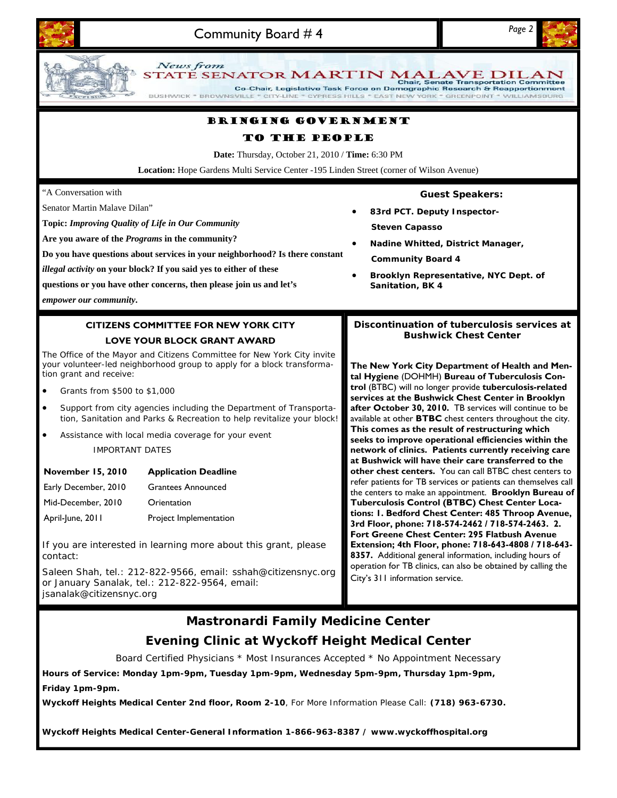

## **Mastronardi Family Medicine Center Evening Clinic at Wyckoff Height Medical Center**

Board Certified Physicians \* Most Insurances Accepted \* No Appointment Necessary

**Hours of Service: Monday 1pm-9pm, Tuesday 1pm-9pm, Wednesday 5pm-9pm, Thursday 1pm-9pm, Friday 1pm-9pm.** 

**Wyckoff Heights Medical Center 2nd floor, Room 2-10**, For More Information Please Call: **(718) 963-6730.** 

**Wyckoff Heights Medical Center-General Information 1-866-963-8387 / www.wyckoffhospital.org**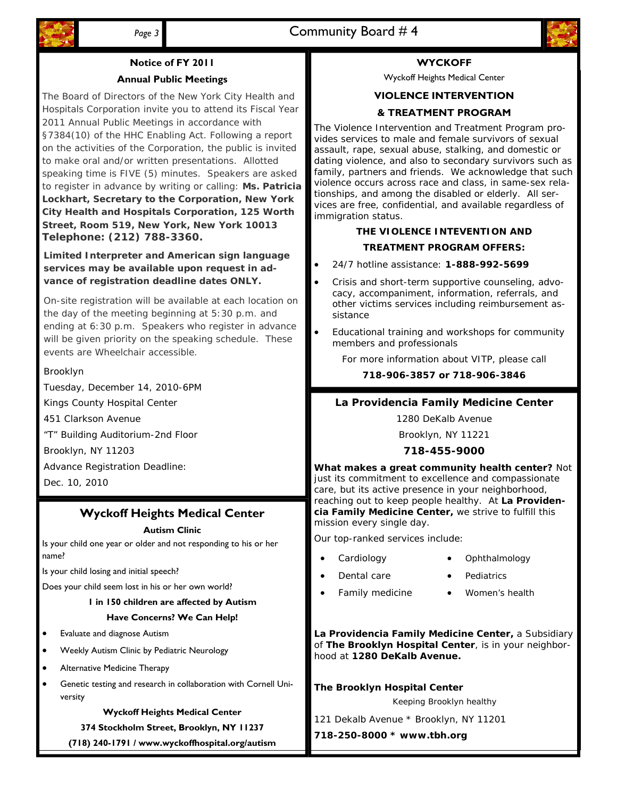

# **Notice of FY 2011**

## **Annual Public Meetings**

The Board of Directors of the New York City Health and Hospitals Corporation invite you to attend its Fiscal Year 2011 Annual Public Meetings in accordance with §7384(10) of the HHC Enabling Act. Following a report on the activities of the Corporation, the public is invited to make oral and/or written presentations. Allotted speaking time is FIVE (5) minutes. Speakers are asked to register in advance by writing or calling: **Ms. Patricia Lockhart, Secretary to the Corporation, New York City Health and Hospitals Corporation, 125 Worth Street, Room 519, New York, New York 10013 Telephone: (212) 788-3360.** 

**Limited Interpreter and American sign language services may be available upon request in advance of registration deadline dates ONLY.** 

On-site registration will be available at each location on the day of the meeting beginning at 5:30 p.m. and ending at 6:30 p.m. Speakers who register in advance will be given priority on the speaking schedule. These events are Wheelchair accessible.

#### Brooklyn

Tuesday, December 14, 2010-6PM

Kings County Hospital Center

451 Clarkson Avenue

"T" Building Auditorium-2nd Floor

Brooklyn, NY 11203

Advance Registration Deadline:

Dec. 10, 2010

## **Wyckoff Heights Medical Center**

#### **Autism Clinic**

Is your child one year or older and not responding to his or her name?

Is your child losing and initial speech?

Does your child seem lost in his or her own world?

#### **1 in 150 children are affected by Autism Have Concerns? We Can Help!**

- Evaluate and diagnose Autism
- Weekly Autism Clinic by Pediatric Neurology
- Alternative Medicine Therapy
- Genetic testing and research in collaboration with Cornell University

#### **Wyckoff Heights Medical Center**

**374 Stockholm Street, Brooklyn, NY 11237** 

**(718) 240-1791 / www.wyckoffhospital.org/autism** 

## **WYCKOFF**

Wyckoff Heights Medical Center

## **VIOLENCE INTERVENTION**

## **& TREATMENT PROGRAM**

The Violence Intervention and Treatment Program provides services to male and female survivors of sexual assault, rape, sexual abuse, stalking, and domestic or dating violence, and also to secondary survivors such as family, partners and friends. We acknowledge that such violence occurs across race and class, in same-sex relationships, and among the disabled or elderly. All services are free, confidential, and available regardless of immigration status.

## **THE VIOLENCE INTEVENTION AND TREATMENT PROGRAM OFFERS:**

- 24/7 hotline assistance: **1-888-992-5699**
- Crisis and short-term supportive counseling, advocacy, accompaniment, information, referrals, and other victims services including reimbursement assistance
- Educational training and workshops for community members and professionals

For more information about VITP, please call

**718-906-3857 or 718-906-3846**

### **La Providencia Family Medicine Center**

1280 DeKalb Avenue

Brooklyn, NY 11221

#### **718-455-9000**

**What makes a great community health center?** Not just its commitment to excellence and compassionate care, but its active presence in your neighborhood, reaching out to keep people healthy. At **La Providencia Family Medicine Center,** we strive to fulfill this mission every single day.

Our top-ranked services include:

- **Cardiology** 
	- Dental care
	- Family medicine
- **Pediatrics** Women's health

• Ophthalmology

**La Providencia Family Medicine Center,** a Subsidiary of **The Brooklyn Hospital Center**, is in your neighborhood at **1280 DeKalb Avenue.** 

**The Brooklyn Hospital Center**  121 Dekalb Avenue \* Brooklyn, NY 11201 Keeping Brooklyn healthy

**718-250-8000 \* www.tbh.org**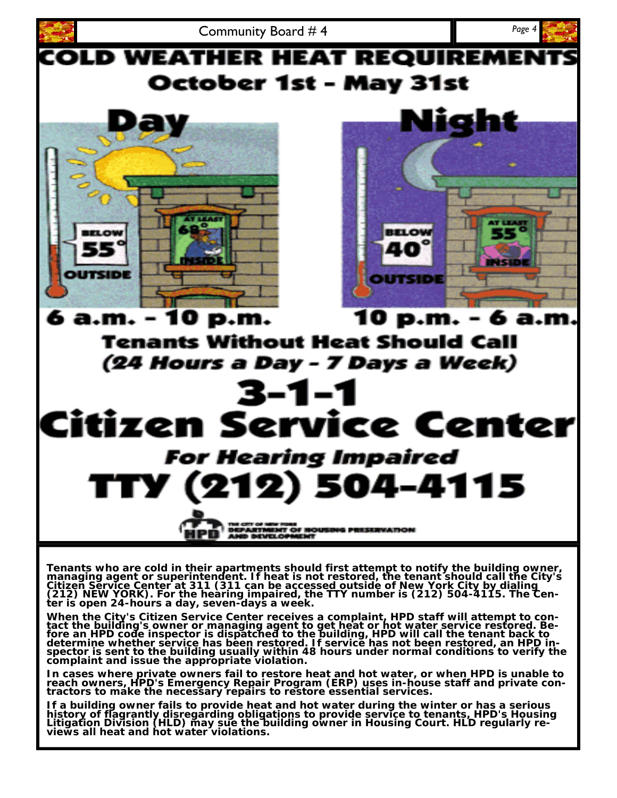

In cases where private owners fail to restore heat and hot water, or when HPD is unable to<br>reach owners, HPD's Emergency Repair Program (ERP) uses in-house staff and private con**tractors to make the necessary repairs to restore essential services.** 

If a building owner fails to provide heat and hot water during the winter or has a serious<br>history of flagrantly disregarding obligations to provide service to tenants, HPD's Housing<br>Litigation Division (HLD) may sue the b **views all heat and hot water violations.**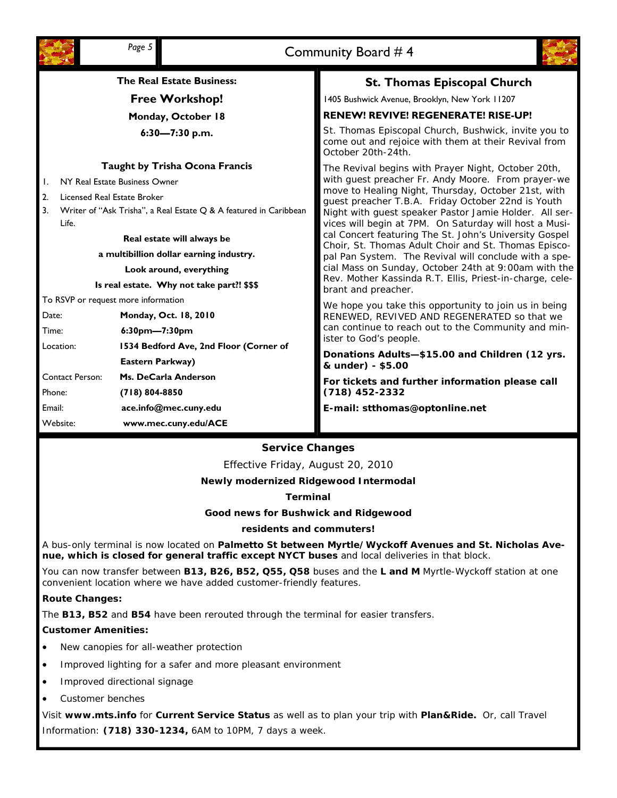| Page 5                                                                            |                                                                                                                                            |                                        | Community Board #4                                                                                                                                                                                                                |  |
|-----------------------------------------------------------------------------------|--------------------------------------------------------------------------------------------------------------------------------------------|----------------------------------------|-----------------------------------------------------------------------------------------------------------------------------------------------------------------------------------------------------------------------------------|--|
| <b>The Real Estate Business:</b>                                                  |                                                                                                                                            |                                        | <b>St. Thomas Episcopal Church</b>                                                                                                                                                                                                |  |
|                                                                                   | <b>Free Workshop!</b>                                                                                                                      |                                        | 1405 Bushwick Avenue, Brooklyn, New York 11207                                                                                                                                                                                    |  |
|                                                                                   | Monday, October 18                                                                                                                         |                                        | RENEW! REVIVE! REGENERATE! RISE-UP!                                                                                                                                                                                               |  |
|                                                                                   | $6:30 - 7:30$ p.m.                                                                                                                         |                                        | St. Thomas Episcopal Church, Bushwick, invite you to<br>come out and rejoice with them at their Revival from<br>October 20th-24th.                                                                                                |  |
|                                                                                   |                                                                                                                                            | <b>Taught by Trisha Ocona Francis</b>  | The Revival begins with Prayer Night, October 20th,                                                                                                                                                                               |  |
|                                                                                   | NY Real Estate Business Owner<br>Licensed Real Estate Broker<br>Writer of "Ask Trisha", a Real Estate Q & A featured in Caribbean<br>Life. |                                        | with guest preacher Fr. Andy Moore. From prayer-we<br>move to Healing Night, Thursday, October 21st, with<br>guest preacher T.B.A. Friday October 22nd is Youth<br>Night with guest speaker Pastor Jamie Holder. All ser-         |  |
| 2.                                                                                |                                                                                                                                            |                                        |                                                                                                                                                                                                                                   |  |
| 3.                                                                                |                                                                                                                                            |                                        |                                                                                                                                                                                                                                   |  |
|                                                                                   |                                                                                                                                            |                                        | vices will begin at 7PM. On Saturday will host a Musi-<br>cal Concert featuring The St. John's University Gospel                                                                                                                  |  |
|                                                                                   | Real estate will always be<br>a multibillion dollar earning industry.                                                                      |                                        | Choir, St. Thomas Adult Choir and St. Thomas Episco-<br>pal Pan System. The Revival will conclude with a spe-<br>cial Mass on Sunday, October 24th at 9:00am with the<br>Rev. Mother Kassinda R.T. Ellis, Priest-in-charge, cele- |  |
|                                                                                   |                                                                                                                                            |                                        |                                                                                                                                                                                                                                   |  |
| Look around, everything                                                           |                                                                                                                                            |                                        |                                                                                                                                                                                                                                   |  |
| Is real estate. Why not take part?! \$\$\$<br>To RSVP or request more information |                                                                                                                                            |                                        | brant and preacher.                                                                                                                                                                                                               |  |
| Date:                                                                             |                                                                                                                                            | Monday, Oct. 18, 2010                  | We hope you take this opportunity to join us in being                                                                                                                                                                             |  |
| Time:                                                                             |                                                                                                                                            | $6:30$ pm—7:30pm                       | RENEWED, REVIVED AND REGENERATED so that we<br>can continue to reach out to the Community and min-                                                                                                                                |  |
| Location:                                                                         |                                                                                                                                            | 1534 Bedford Ave, 2nd Floor (Corner of | ister to God's people.                                                                                                                                                                                                            |  |
|                                                                                   |                                                                                                                                            | Eastern Parkway)                       | Donations Adults-\$15.00 and Children (12 yrs.<br>& under) - \$5.00                                                                                                                                                               |  |
|                                                                                   | <b>Contact Person:</b>                                                                                                                     | Ms. DeCarla Anderson                   | For tickets and further information please call<br>$(718)$ 452-2332                                                                                                                                                               |  |
| Phone:                                                                            |                                                                                                                                            | $(718) 804 - 8850$                     |                                                                                                                                                                                                                                   |  |
| Email:                                                                            |                                                                                                                                            | ace.info@mec.cuny.edu                  | E-mail: stthomas@optonline.net                                                                                                                                                                                                    |  |
| Website:                                                                          |                                                                                                                                            | www.mec.cuny.edu/ACE                   |                                                                                                                                                                                                                                   |  |

#### **Service Changes**

Effective Friday, August 20, 2010

**Newly modernized Ridgewood Intermodal** 

**Terminal** 

**Good news for Bushwick and Ridgewood** 

#### **residents and commuters!**

A bus-only terminal is now located on **Palmetto St between Myrtle/Wyckoff Avenues and St. Nicholas Avenue, which is closed for general traffic except NYCT buses** and local deliveries in that block.

You can now transfer between **B13, B26, B52, Q55, Q58** buses and the **L and M** Myrtle-Wyckoff station at one convenient location where we have added customer-friendly features.

#### **Route Changes:**

The **B13, B52** and **B54** have been rerouted through the terminal for easier transfers.

#### **Customer Amenities:**

- New canopies for all-weather protection
- Improved lighting for a safer and more pleasant environment
- Improved directional signage
- Customer benches

Visit **www.mts.info** for **Current Service Status** as well as to plan your trip with **Plan&Ride.** Or, call Travel Information: **(718) 330-1234,** 6AM to 10PM, 7 days a week.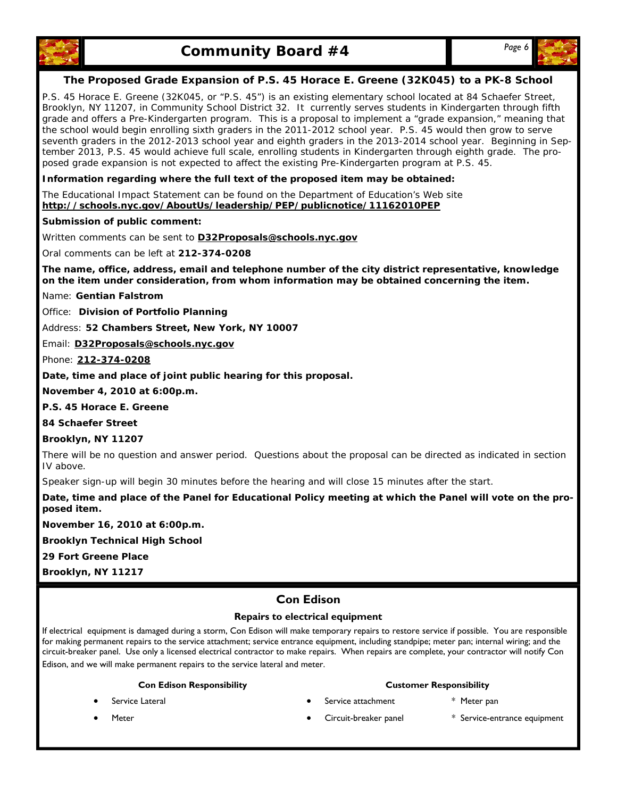



#### **The Proposed Grade Expansion of P.S. 45 Horace E. Greene (32K045) to a PK-8 School**

P.S. 45 Horace E. Greene (32K045, or "P.S. 45") is an existing elementary school located at 84 Schaefer Street, Brooklyn, NY 11207, in Community School District 32. It currently serves students in Kindergarten through fifth grade and offers a Pre-Kindergarten program. This is a proposal to implement a "grade expansion," meaning that the school would begin enrolling sixth graders in the 2011-2012 school year. P.S. 45 would then grow to serve seventh graders in the 2012-2013 school year and eighth graders in the 2013-2014 school year. Beginning in September 2013, P.S. 45 would achieve full scale, enrolling students in Kindergarten through eighth grade. The proposed grade expansion is not expected to affect the existing Pre-Kindergarten program at P.S. 45.

**Information regarding where the full text of the proposed item may be obtained:** 

The Educational Impact Statement can be found on the Department of Education's Web site **http://schools.nyc.gov/AboutUs/leadership/PEP/publicnotice/11162010PEP** 

**Submission of public comment:** 

Written comments can be sent to **D32Proposals@schools.nyc.gov**

Oral comments can be left at **212-374-0208** 

**The name, office, address, email and telephone number of the city district representative, knowledge on the item under consideration, from whom information may be obtained concerning the item.** 

Name: **Gentian Falstrom** 

Office: **Division of Portfolio Planning** 

Address: **52 Chambers Street, New York, NY 10007** 

Email: **D32Proposals@schools.nyc.gov**

Phone: **212-374-0208**

**Date, time and place of joint public hearing for this proposal.** 

**November 4, 2010 at 6:00p.m.** 

**P.S. 45 Horace E. Greene** 

**84 Schaefer Street** 

**Brooklyn, NY 11207** 

There will be no question and answer period. Questions about the proposal can be directed as indicated in section IV above.

Speaker sign-up will begin 30 minutes before the hearing and will close 15 minutes after the start.

**Date, time and place of the Panel for Educational Policy meeting at which the Panel will vote on the proposed item.** 

**November 16, 2010 at 6:00p.m.** 

**Brooklyn Technical High School** 

**29 Fort Greene Place** 

**Brooklyn, NY 11217** 

### **Con Edison**

#### **Repairs to electrical equipment**

If electrical equipment is damaged during a storm, Con Edison will make temporary repairs to restore service if possible. You are responsible for making permanent repairs to the service attachment; service entrance equipment, including standpipe; meter pan; internal wiring; and the circuit-breaker panel. Use only a licensed electrical contractor to make repairs. When repairs are complete, your contractor will notify Con Edison, and we will make permanent repairs to the service lateral and meter.

#### **Con Edison Responsibility**

- Service Lateral
- **Meter**

#### **Customer Responsibility**

- Service attachment \* Meter pan
	-
- - Circuit-breaker panel \* Service-entrance equipment